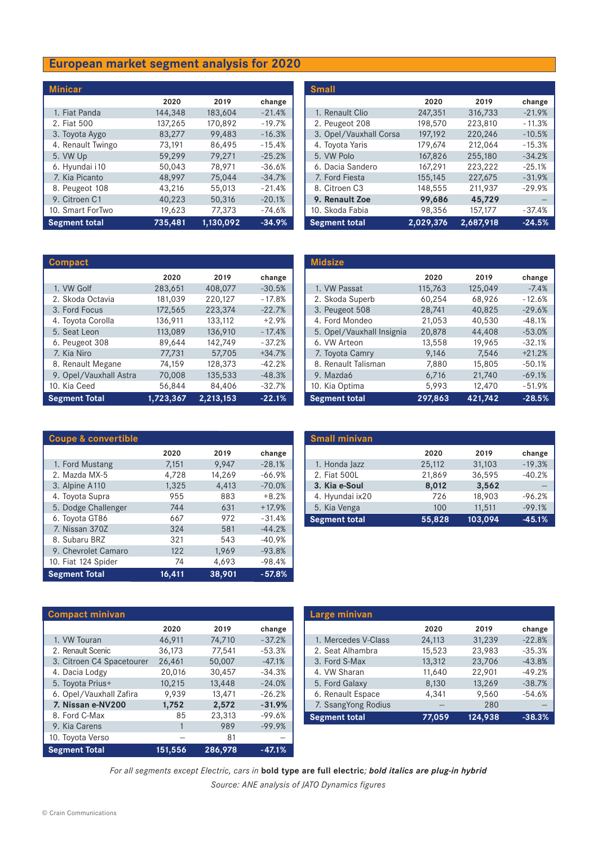## **European market segment analysis for 2020**

| <b>Minicar</b>       |         |           |          |
|----------------------|---------|-----------|----------|
|                      | 2020    | 2019      | change   |
| 1. Fiat Panda        | 144,348 | 183,604   | $-21.4%$ |
| 2. Fiat 500          | 137,265 | 170,892   | $-19.7%$ |
| 3. Toyota Aygo       | 83,277  | 99,483    | $-16.3%$ |
| 4. Renault Twingo    | 73,191  | 86,495    | $-15.4%$ |
| 5. VW Up             | 59,299  | 79,271    | $-25.2%$ |
| 6. Hyundai i10       | 50,043  | 78.971    | $-36.6%$ |
| 7. Kia Picanto       | 48,997  | 75,044    | $-34.7%$ |
| 8. Peugeot 108       | 43,216  | 55,013    | $-21.4%$ |
| 9. Citroen C1        | 40,223  | 50,316    | $-20.1%$ |
| 10. Smart ForTwo     | 19,623  | 77,373    | $-74.6%$ |
| <b>Segment total</b> | 735,481 | 1,130,092 | $-34.9%$ |

| <b>Compact</b>         |           |           |          |
|------------------------|-----------|-----------|----------|
|                        | 2020      | 2019      | change   |
| 1. VW Golf             | 283,651   | 408,077   | $-30.5%$ |
| 2. Skoda Octavia       | 181,039   | 220,127   | $-17.8%$ |
| 3. Ford Focus          | 172,565   | 223,374   | $-22.7%$ |
| 4. Toyota Corolla      | 136,911   | 133.112   | $+2.9%$  |
| 5. Seat Leon           | 113,089   | 136,910   | $-17.4%$ |
| 6. Peugeot 308         | 89,644    | 142,749   | $-37.2%$ |
| 7. Kia Niro            | 77,731    | 57,705    | $+34.7%$ |
| 8. Renault Megane      | 74,159    | 128,373   | $-42.2%$ |
| 9. Opel/Vauxhall Astra | 70,008    | 135.533   | $-48.3%$ |
| 10. Kia Ceed           | 56,844    | 84,406    | $-32.7%$ |
| <b>Segment Total</b>   | 1,723,367 | 2,213,153 | $-22.1%$ |

| <b>Small</b>           |           |           |          |
|------------------------|-----------|-----------|----------|
|                        | 2020      | 2019      | change   |
| 1. Renault Clio        | 247,351   | 316,733   | $-21.9%$ |
| 2. Peugeot 208         | 198,570   | 223,810   | $-11.3%$ |
| 3. Opel/Vauxhall Corsa | 197,192   | 220,246   | $-10.5%$ |
| 4. Toyota Yaris        | 179,674   | 212,064   | $-15.3%$ |
| 5. VW Polo             | 167,826   | 255,180   | $-34.2%$ |
| 6. Dacia Sandero       | 167.291   | 223,222   | $-25.1%$ |
| 7. Ford Fiesta         | 155,145   | 227,675   | $-31.9%$ |
| 8. Citroen C3          | 148,555   | 211,937   | $-29.9%$ |
| 9. Renault Zoe         | 99,686    | 45,729    |          |
| 10. Skoda Fabia        | 98,356    | 157,177   | $-37.4%$ |
| <b>Segment total</b>   | 2,029,376 | 2,687,918 | $-24.5%$ |

| <b>Midsize</b>            |         |         |          |
|---------------------------|---------|---------|----------|
|                           | 2020    | 2019    | change   |
| 1. VW Passat              | 115,763 | 125,049 | $-7.4%$  |
| 2. Skoda Superb           | 60,254  | 68,926  | $-12.6%$ |
| 3. Peugeot 508            | 28,741  | 40,825  | $-29.6%$ |
| 4. Ford Mondeo            | 21,053  | 40,530  | $-48.1%$ |
| 5. Opel/Vauxhall Insignia | 20,878  | 44,408  | $-53.0%$ |
| 6. VW Arteon              | 13,558  | 19.965  | $-32.1%$ |
| 7. Toyota Camry           | 9,146   | 7,546   | $+21.2%$ |
| 8. Renault Talisman       | 7,880   | 15,805  | $-50.1%$ |
| 9. Mazda6                 | 6,716   | 21,740  | $-69.1%$ |
| 10. Kia Optima            | 5,993   | 12,470  | $-51.9%$ |
| <b>Segment total</b>      | 297,863 | 421,742 | $-28.5%$ |

| <b>Coupe &amp; convertible</b> |        |        |          |
|--------------------------------|--------|--------|----------|
|                                | 2020   | 2019   | change   |
| 1. Ford Mustang                | 7,151  | 9,947  | $-28.1%$ |
| 2. Mazda MX-5                  | 4,728  | 14,269 | $-66.9%$ |
| 3. Alpine A110                 | 1,325  | 4,413  | $-70.0%$ |
| 4. Toyota Supra                | 955    | 883    | $+8.2%$  |
| 5. Dodge Challenger            | 744    | 631    | $+17.9%$ |
| 6. Toyota GT86                 | 667    | 972    | $-31.4%$ |
| 7. Nissan 370Z                 | 324    | 581    | $-44.2%$ |
| 8. Subaru BRZ                  | 321    | 543    | $-40.9%$ |
| 9. Chevrolet Camaro            | 122    | 1,969  | $-93.8%$ |
| 10. Fiat 124 Spider            | 74     | 4,693  | $-98.4%$ |
| <b>Segment Total</b>           | 16,411 | 38,901 | $-57.8%$ |

| <b>Small minivan</b> |        |         |          |
|----------------------|--------|---------|----------|
|                      | 2020   | 2019    | change   |
| 1. Honda Jazz        | 25,112 | 31,103  | $-19.3%$ |
| 2. Fiat 500L         | 21,869 | 36,595  | $-40.2%$ |
| 3. Kia e-Soul        | 8,012  | 3,562   |          |
| 4. Hyundai ix20      | 726    | 18,903  | $-96.2%$ |
| 5. Kia Venga         | 100    | 11,511  | $-99.1%$ |
| <b>Segment total</b> | 55,828 | 103,094 | $-45.1%$ |

| <b>Compact minivan</b>    |         |         |          |
|---------------------------|---------|---------|----------|
|                           | 2020    | 2019    | change   |
| 1. VW Touran              | 46,911  | 74,710  | $-37.2%$ |
| 2. Renault Scenic         | 36,173  | 77,541  | $-53.3%$ |
| 3. Citroen C4 Spacetourer | 26,461  | 50,007  | $-47.1%$ |
| 4. Dacia Lodgy            | 20,016  | 30,457  | $-34.3%$ |
| 5. Toyota Prius+          | 10,215  | 13,448  | $-24.0%$ |
| 6. Opel/Vauxhall Zafira   | 9,939   | 13,471  | $-26.2%$ |
| 7. Nissan e-NV200         | 1,752   | 2,572   | $-31.9%$ |
| 8. Ford C-Max             | 85      | 23,313  | $-99.6%$ |
| 9. Kia Carens             |         | 989     | $-99.9%$ |
| 10. Toyota Verso          |         | 81      |          |
| <b>Segment Total</b>      | 151,556 | 286,978 | $-47.1%$ |

| Large minivan        |        |         |          |
|----------------------|--------|---------|----------|
|                      | 2020   | 2019    | change   |
| 1. Mercedes V-Class  | 24,113 | 31,239  | $-22.8%$ |
| 2. Seat Alhambra     | 15,523 | 23,983  | $-35.3%$ |
| 3. Ford S-Max        | 13,312 | 23,706  | $-43.8%$ |
| 4. VW Sharan         | 11,640 | 22,901  | $-49.2%$ |
| 5. Ford Galaxy       | 8,130  | 13,269  | $-38.7%$ |
| 6. Renault Espace    | 4.341  | 9,560   | $-54.6%$ |
| 7. SsangYong Rodius  |        | 280     |          |
| <b>Segment total</b> | 77,059 | 124,938 | $-38.3%$ |

*For all segments except Electric, cars in* **bold type are full electric***; bold italics are plug-in hybrid Source: ANE analysis of JATO Dynamics figures*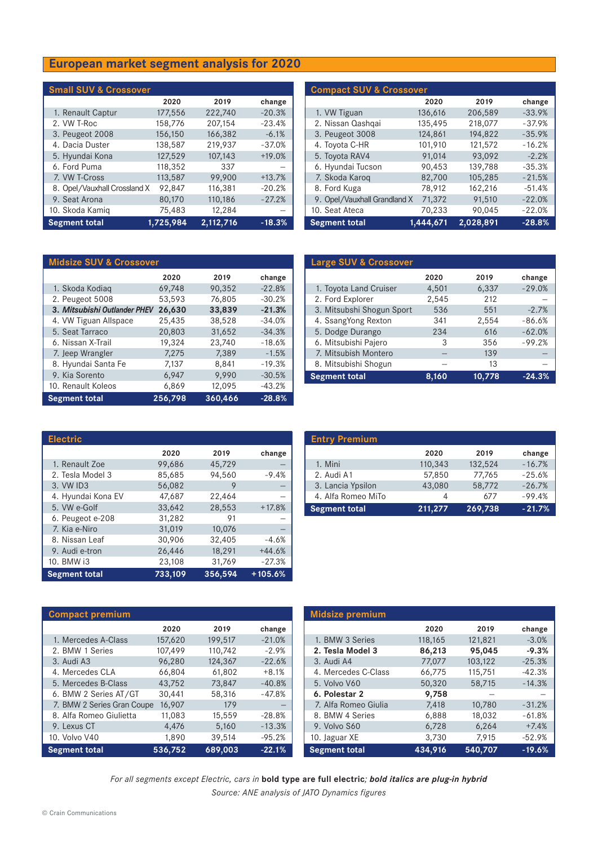## **European market segment analysis for 2020**

| <b>Small SUV &amp; Crossover</b> |           |           |          |
|----------------------------------|-----------|-----------|----------|
|                                  | 2020      | 2019      | change   |
| 1. Renault Captur                | 177,556   | 222,740   | $-20.3%$ |
| 2. VW T-Roc                      | 158,776   | 207,154   | $-23.4%$ |
| 3. Peugeot 2008                  | 156,150   | 166,382   | $-6.1%$  |
| 4. Dacia Duster                  | 138,587   | 219,937   | $-37.0%$ |
| 5. Hyundai Kona                  | 127,529   | 107,143   | $+19.0%$ |
| 6. Ford Puma                     | 118,352   | 337       |          |
| 7. VW T-Cross                    | 113,587   | 99,900    | $+13.7%$ |
| 8. Opel/Vauxhall Crossland X     | 92,847    | 116,381   | $-20.2%$ |
| 9. Seat Arona                    | 80,170    | 110,186   | $-27.2%$ |
| 10. Skoda Kamig                  | 75,483    | 12,284    |          |
| <b>Segment total</b>             | 1,725,984 | 2,112,716 | $-18.3%$ |

| <b>Compact SUV &amp; Crossover</b> |           |           |          |
|------------------------------------|-----------|-----------|----------|
|                                    | 2020      | 2019      | change   |
| 1. VW Tiguan                       | 136,616   | 206,589   | $-33.9%$ |
| 2. Nissan Qashqai                  | 135,495   | 218,077   | $-37.9%$ |
| 3. Peugeot 3008                    | 124,861   | 194,822   | $-35.9%$ |
| 4. Toyota C-HR                     | 101,910   | 121,572   | $-16.2%$ |
| 5. Toyota RAV4                     | 91,014    | 93.092    | $-2.2%$  |
| 6. Hyundai Tucson                  | 90,453    | 139,788   | $-35.3%$ |
| 7. Skoda Karog                     | 82,700    | 105,285   | $-21.5%$ |
| 8. Ford Kuga                       | 78,912    | 162,216   | $-51.4%$ |
| 9. Opel/Vauxhall Grandland X       | 71,372    | 91.510    | $-22.0%$ |
| 10. Seat Ateca                     | 70,233    | 90,045    | $-22.0%$ |
| <b>Segment total</b>               | 1,444,671 | 2,028,891 | $-28.8%$ |

| <b>Midsize SUV &amp; Crossover</b> |         |         |          |
|------------------------------------|---------|---------|----------|
|                                    | 2020    | 2019    | change   |
| 1. Skoda Kodiag                    | 69,748  | 90,352  | $-22.8%$ |
| 2. Peugeot 5008                    | 53,593  | 76,805  | $-30.2%$ |
| 3. Mitsubishi Outlander PHEV       | 26,630  | 33,839  | $-21.3%$ |
| 4. VW Tiguan Allspace              | 25,435  | 38,528  | $-34.0%$ |
| 5. Seat Tarraco                    | 20,803  | 31,652  | $-34.3%$ |
| 6. Nissan X-Trail                  | 19,324  | 23,740  | $-18.6%$ |
| 7. Jeep Wrangler                   | 7,275   | 7,389   | $-1.5%$  |
| 8. Hyundai Santa Fe                | 7,137   | 8,841   | $-19.3%$ |
| 9. Kia Sorento                     | 6,947   | 9,990   | $-30.5%$ |
| 10. Renault Koleos                 | 6,869   | 12,095  | $-43.2%$ |
| <b>Segment total</b>               | 256,798 | 360,466 | $-28.8%$ |

| <b>Large SUV &amp; Crossover</b> |       |        |          |
|----------------------------------|-------|--------|----------|
|                                  | 2020  | 2019   | change   |
| 1. Toyota Land Cruiser           | 4,501 | 6,337  | $-29.0%$ |
| 2. Ford Explorer                 | 2,545 | 212    |          |
| 3. Mitsubshi Shogun Sport        | 536   | 551    | $-2.7%$  |
| 4. SsangYong Rexton              | 341   | 2,554  | $-86.6%$ |
| 5. Dodge Durango                 | 234   | 616    | $-62.0%$ |
| 6. Mitsubishi Pajero             | 3     | 356    | $-99.2%$ |
| 7. Mitsubish Montero             |       | 139    |          |
| 8. Mitsubishi Shogun             |       | 13     |          |
| <b>Segment total</b>             | 8,160 | 10,778 | $-24.3%$ |

| <b>Electric</b>      |         |         |           |
|----------------------|---------|---------|-----------|
|                      | 2020    | 2019    | change    |
| 1. Renault Zoe       | 99,686  | 45,729  |           |
| 2. Tesla Model 3     | 85,685  | 94,560  | $-9.4%$   |
| 3. VW ID3            | 56,082  | 9       |           |
| 4. Hyundai Kona EV   | 47,687  | 22,464  |           |
| 5. VW e-Golf         | 33.642  | 28.553  | $+17.8%$  |
| 6. Peugeot e-208     | 31.282  | 91      |           |
| 7. Kia e-Niro        | 31,019  | 10,076  |           |
| 8. Nissan Leaf       | 30,906  | 32,405  | $-4.6%$   |
| 9. Audi e-tron       | 26,446  | 18,291  | $+44.6%$  |
| 10. BMW i3           | 23,108  | 31,769  | $-27.3%$  |
| <b>Segment total</b> | 733,109 | 356,594 | $+105.6%$ |

| <b>Entry Premium</b> |         |         |          |
|----------------------|---------|---------|----------|
|                      | 2020    | 2019    | change   |
| 1. Mini              | 110,343 | 132,524 | $-16.7%$ |
| 2. Audi A1           | 57,850  | 77,765  | $-25.6%$ |
| 3. Lancia Ypsilon    | 43,080  | 58,772  | $-26.7%$ |
| 4. Alfa Romeo MiTo   |         | 677     | $-99.4%$ |
| <b>Segment total</b> | 211,277 | 269,738 | $-21.7%$ |

| <b>Compact premium</b>     |         |         |          |
|----------------------------|---------|---------|----------|
|                            | 2020    | 2019    | change   |
| 1. Mercedes A-Class        | 157,620 | 199,517 | $-21.0%$ |
| 2. BMW 1 Series            | 107,499 | 110,742 | $-2.9%$  |
| 3. Audi A3                 | 96,280  | 124,367 | $-22.6%$ |
| 4. Mercedes CLA            | 66,804  | 61,802  | $+8.1%$  |
| 5. Mercedes B-Class        | 43,752  | 73,847  | $-40.8%$ |
| 6. BMW 2 Series AT/GT      | 30,441  | 58,316  | $-47.8%$ |
| 7. BMW 2 Series Gran Coupe | 16,907  | 179     |          |
| 8. Alfa Romeo Giulietta    | 11,083  | 15,559  | $-28.8%$ |
| 9. Lexus CT                | 4,476   | 5,160   | $-13.3%$ |
| 10. Volvo V40              | 1,890   | 39,514  | $-95.2%$ |
| <b>Segment total</b>       | 536,752 | 689,003 | $-22.1%$ |

| <b>Midsize premium</b> |         |         |          |
|------------------------|---------|---------|----------|
|                        | 2020    | 2019    | change   |
| 1. BMW 3 Series        | 118,165 | 121,821 | $-3.0%$  |
| 2. Tesla Model 3       | 86,213  | 95,045  | $-9.3%$  |
| 3. Audi A4             | 77,077  | 103,122 | $-25.3%$ |
| 4. Mercedes C-Class    | 66,775  | 115,751 | $-42.3%$ |
| 5. Volvo V60           | 50,320  | 58,715  | $-14.3%$ |
| 6. Polestar 2          | 9,758   |         |          |
| 7. Alfa Romeo Giulia   | 7,418   | 10,780  | $-31.2%$ |
| 8. BMW 4 Series        | 6,888   | 18,032  | $-61.8%$ |
| 9. Volvo S60           | 6,728   | 6,264   | $+7.4%$  |
| 10. Jaguar XE          | 3,730   | 7,915   | $-52.9%$ |
| <b>Segment total</b>   | 434,916 | 540,707 | $-19.6%$ |

*For all segments except Electric, cars in* **bold type are full electric***; bold italics are plug-in hybrid Source: ANE analysis of JATO Dynamics figures*